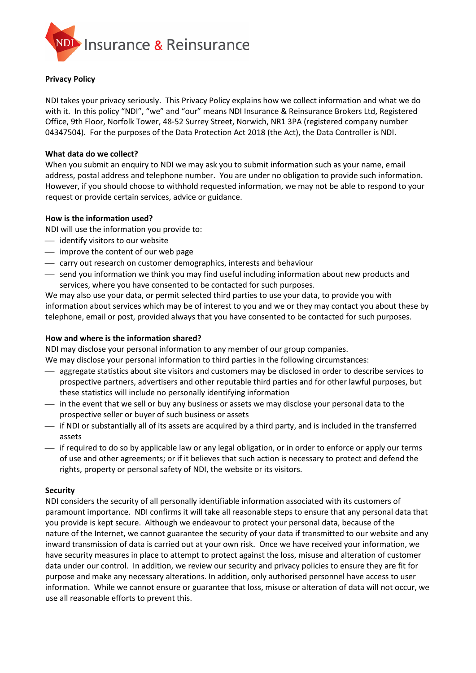

## **Privacy Policy**

NDI takes your privacy seriously. This Privacy Policy explains how we collect information and what we do with it. In this policy "NDI", "we" and "our" means NDI Insurance & Reinsurance Brokers Ltd, Registered Office, 9th Floor, Norfolk Tower, 48-52 Surrey Street, Norwich, NR1 3PA (registered company number 04347504). For the purposes of the Data Protection Act 2018 (the Act), the Data Controller is NDI.

#### **What data do we collect?**

When you submit an enquiry to NDI we may ask you to submit information such as your name, email address, postal address and telephone number. You are under no obligation to provide such information. However, if you should choose to withhold requested information, we may not be able to respond to your request or provide certain services, advice or guidance.

## **How is the information used?**

NDI will use the information you provide to:

- ⎯ identify visitors to our website
- $\overline{\phantom{a}}$  improve the content of our web page
- $-$  carry out research on customer demographics, interests and behaviour
- $-$  send you information we think you may find useful including information about new products and services, where you have consented to be contacted for such purposes.

We may also use your data, or permit selected third parties to use your data, to provide you with information about services which may be of interest to you and we or they may contact you about these by telephone, email or post, provided always that you have consented to be contacted for such purposes.

#### **How and where is the information shared?**

NDI may disclose your personal information to any member of our group companies.

We may disclose your personal information to third parties in the following circumstances:

- $-$  aggregate statistics about site visitors and customers may be disclosed in order to describe services to prospective partners, advertisers and other reputable third parties and for other lawful purposes, but these statistics will include no personally identifying information
- $-$  in the event that we sell or buy any business or assets we may disclose your personal data to the prospective seller or buyer of such business or assets
- ⎯ if NDI or substantially all of its assets are acquired by a third party, and is included in the transferred assets
- ⎯ if required to do so by applicable law or any legal obligation, or in order to enforce or apply our terms of use and other agreements; or if it believes that such action is necessary to protect and defend the rights, property or personal safety of NDI, the website or its visitors.

# **Security**

NDI considers the security of all personally identifiable information associated with its customers of paramount importance. NDI confirms it will take all reasonable steps to ensure that any personal data that you provide is kept secure. Although we endeavour to protect your personal data, because of the nature of the Internet, we cannot guarantee the security of your data if transmitted to our website and any inward transmission of data is carried out at your own risk. Once we have received your information, we have security measures in place to attempt to protect against the loss, misuse and alteration of customer data under our control. In addition, we review our security and privacy policies to ensure they are fit for purpose and make any necessary alterations. In addition, only authorised personnel have access to user information. While we cannot ensure or guarantee that loss, misuse or alteration of data will not occur, we use all reasonable efforts to prevent this.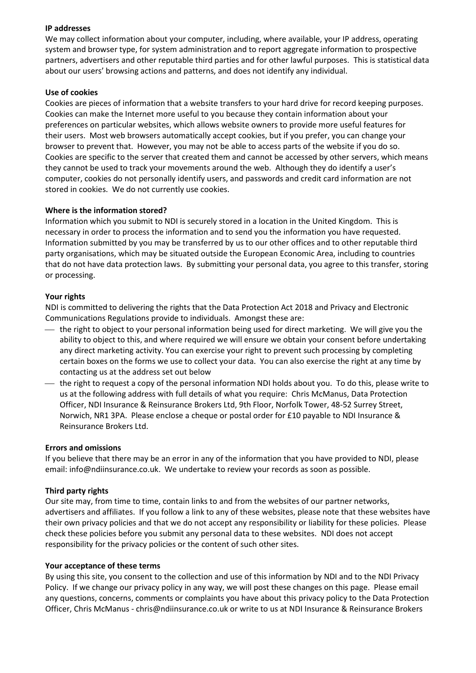## **IP addresses**

We may collect information about your computer, including, where available, your IP address, operating system and browser type, for system administration and to report aggregate information to prospective partners, advertisers and other reputable third parties and for other lawful purposes. This is statistical data about our users' browsing actions and patterns, and does not identify any individual.

## **Use of cookies**

Cookies are pieces of information that a website transfers to your hard drive for record keeping purposes. Cookies can make the Internet more useful to you because they contain information about your preferences on particular websites, which allows website owners to provide more useful features for their users. Most web browsers automatically accept cookies, but if you prefer, you can change your browser to prevent that. However, you may not be able to access parts of the website if you do so. Cookies are specific to the server that created them and cannot be accessed by other servers, which means they cannot be used to track your movements around the web. Although they do identify a user's computer, cookies do not personally identify users, and passwords and credit card information are not stored in cookies. We do not currently use cookies.

## **Where is the information stored?**

Information which you submit to NDI is securely stored in a location in the United Kingdom. This is necessary in order to process the information and to send you the information you have requested. Information submitted by you may be transferred by us to our other offices and to other reputable third party organisations, which may be situated outside the European Economic Area, including to countries that do not have data protection laws. By submitting your personal data, you agree to this transfer, storing or processing.

## **Your rights**

NDI is committed to delivering the rights that the Data Protection Act 2018 and Privacy and Electronic Communications Regulations provide to individuals. Amongst these are:

- $-$  the right to object to your personal information being used for direct marketing. We will give you the ability to object to this, and where required we will ensure we obtain your consent before undertaking any direct marketing activity. You can exercise your right to prevent such processing by completing certain boxes on the forms we use to collect your data. You can also exercise the right at any time by contacting us at the address set out below
- ⎯ the right to request a copy of the personal information NDI holds about you. To do this, please write to us at the following address with full details of what you require: Chris McManus, Data Protection Officer, NDI Insurance & Reinsurance Brokers Ltd, 9th Floor, Norfolk Tower, 48-52 Surrey Street, Norwich, NR1 3PA. Please enclose a cheque or postal order for £10 payable to NDI Insurance & Reinsurance Brokers Ltd.

#### **Errors and omissions**

If you believe that there may be an error in any of the information that you have provided to NDI, please email[: info@ndiinsurance.co.uk.](mailto:info@ndiinsurance.co.uk) We undertake to review your records as soon as possible.

# **Third party rights**

Our site may, from time to time, contain links to and from the websites of our partner networks, advertisers and affiliates. If you follow a link to any of these websites, please note that these websites have their own privacy policies and that we do not accept any responsibility or liability for these policies. Please check these policies before you submit any personal data to these websites. NDI does not accept responsibility for the privacy policies or the content of such other sites.

#### **Your acceptance of these terms**

By using this site, you consent to the collection and use of this information by NDI and to the NDI Privacy Policy. If we change our privacy policy in any way, we will post these changes on this page. Please email any questions, concerns, comments or complaints you have about this privacy policy to the Data Protection Officer, Chris McManus - chris@ndiinsurance.co.uk or write to us at NDI Insurance & Reinsurance Brokers